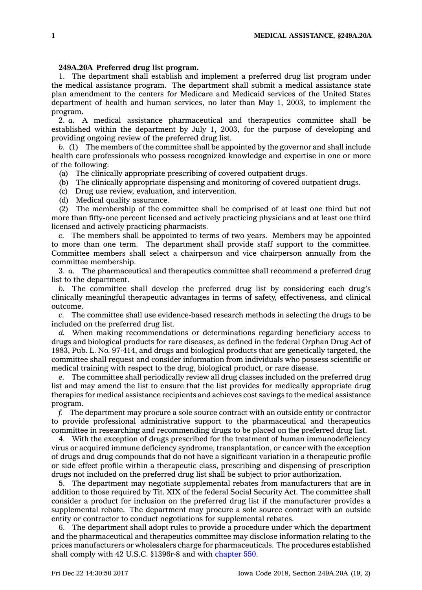## **249A.20A Preferred drug list program.**

1. The department shall establish and implement <sup>a</sup> preferred drug list program under the medical assistance program. The department shall submit <sup>a</sup> medical assistance state plan amendment to the centers for Medicare and Medicaid services of the United States department of health and human services, no later than May 1, 2003, to implement the program.

2. *a.* A medical assistance pharmaceutical and therapeutics committee shall be established within the department by July 1, 2003, for the purpose of developing and providing ongoing review of the preferred drug list.

*b.* (1) The members of the committee shall be appointed by the governor and shall include health care professionals who possess recognized knowledge and expertise in one or more of the following:

(a) The clinically appropriate prescribing of covered outpatient drugs.

(b) The clinically appropriate dispensing and monitoring of covered outpatient drugs.

(c) Drug use review, evaluation, and intervention.

(d) Medical quality assurance.

(2) The membership of the committee shall be comprised of at least one third but not more than fifty-one percent licensed and actively practicing physicians and at least one third licensed and actively practicing pharmacists.

*c.* The members shall be appointed to terms of two years. Members may be appointed to more than one term. The department shall provide staff support to the committee. Committee members shall select <sup>a</sup> chairperson and vice chairperson annually from the committee membership.

3. *a.* The pharmaceutical and therapeutics committee shall recommend <sup>a</sup> preferred drug list to the department.

*b.* The committee shall develop the preferred drug list by considering each drug's clinically meaningful therapeutic advantages in terms of safety, effectiveness, and clinical outcome.

*c.* The committee shall use evidence-based research methods in selecting the drugs to be included on the preferred drug list.

*d.* When making recommendations or determinations regarding beneficiary access to drugs and biological products for rare diseases, as defined in the federal Orphan Drug Act of 1983, Pub. L. No. 97-414, and drugs and biological products that are genetically targeted, the committee shall request and consider information from individuals who possess scientific or medical training with respect to the drug, biological product, or rare disease.

*e.* The committee shall periodically review all drug classes included on the preferred drug list and may amend the list to ensure that the list provides for medically appropriate drug therapies for medical assistance recipients and achieves cost savings to the medical assistance program.

*f.* The department may procure <sup>a</sup> sole source contract with an outside entity or contractor to provide professional administrative support to the pharmaceutical and therapeutics committee in researching and recommending drugs to be placed on the preferred drug list.

4. With the exception of drugs prescribed for the treatment of human immunodeficiency virus or acquired immune deficiency syndrome, transplantation, or cancer with the exception of drugs and drug compounds that do not have <sup>a</sup> significant variation in <sup>a</sup> therapeutic profile or side effect profile within <sup>a</sup> therapeutic class, prescribing and dispensing of prescription drugs not included on the preferred drug list shall be subject to prior authorization.

5. The department may negotiate supplemental rebates from manufacturers that are in addition to those required by Tit. XIX of the federal Social Security Act. The committee shall consider <sup>a</sup> product for inclusion on the preferred drug list if the manufacturer provides <sup>a</sup> supplemental rebate. The department may procure <sup>a</sup> sole source contract with an outside entity or contractor to conduct negotiations for supplemental rebates.

6. The department shall adopt rules to provide <sup>a</sup> procedure under which the department and the pharmaceutical and therapeutics committee may disclose information relating to the prices manufacturers or wholesalers charge for pharmaceuticals. The procedures established shall comply with 42 U.S.C. §1396r-8 and with [chapter](https://www.legis.iowa.gov/docs/code//550.pdf) 550.